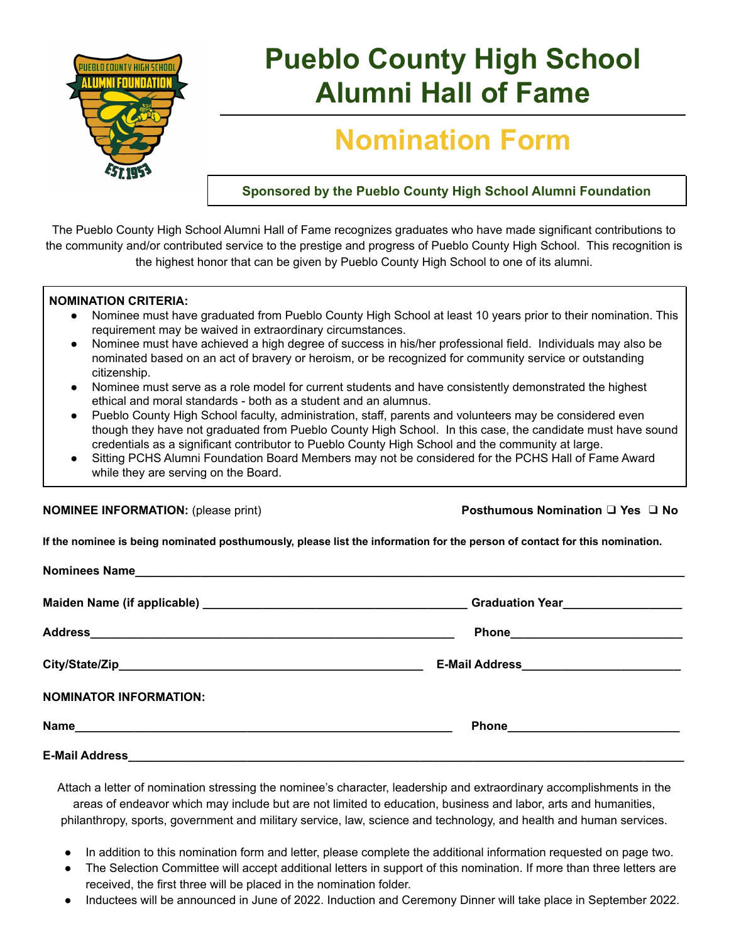

# **Pueblo County High School Alumni Hall of Fame**

## **Nomination Form**

**Sponsored by the Pueblo County High School Alumni Foundation**

The Pueblo County High School Alumni Hall of Fame recognizes graduates who have made significant contributions to the community and/or contributed service to the prestige and progress of Pueblo County High School. This recognition is the highest honor that can be given by Pueblo County High School to one of its alumni.

#### **NOMINATION CRITERIA:**

- Nominee must have graduated from Pueblo County High School at least 10 years prior to their nomination. This requirement may be waived in extraordinary circumstances.
- Nominee must have achieved a high degree of success in his/her professional field. Individuals may also be nominated based on an act of bravery or heroism, or be recognized for community service or outstanding citizenship.
- Nominee must serve as a role model for current students and have consistently demonstrated the highest ethical and moral standards - both as a student and an alumnus.
- Pueblo County High School faculty, administration, staff, parents and volunteers may be considered even though they have not graduated from Pueblo County High School. In this case, the candidate must have sound credentials as a significant contributor to Pueblo County High School and the community at large.
- Sitting PCHS Alumni Foundation Board Members may not be considered for the PCHS Hall of Fame Award while they are serving on the Board.

**NOMINEE INFORMATION:** (please print) **Posthumous Nomination** ❑ **Yes** ❑ **No**

**If the nominee is being nominated posthumously, please list the information for the person of contact for this nomination.**

|                               | E-Mail Address_____________________________ |
|-------------------------------|---------------------------------------------|
| <b>NOMINATOR INFORMATION:</b> |                                             |
|                               |                                             |
| <b>E-Mail Address</b>         |                                             |

Attach a letter of nomination stressing the nominee's character, leadership and extraordinary accomplishments in the areas of endeavor which may include but are not limited to education, business and labor, arts and humanities, philanthropy, sports, government and military service, law, science and technology, and health and human services.

- In addition to this nomination form and letter, please complete the additional information requested on page two.
- The Selection Committee will accept additional letters in support of this nomination. If more than three letters are received, the first three will be placed in the nomination folder.
- Inductees will be announced in June of 2022. Induction and Ceremony Dinner will take place in September 2022.